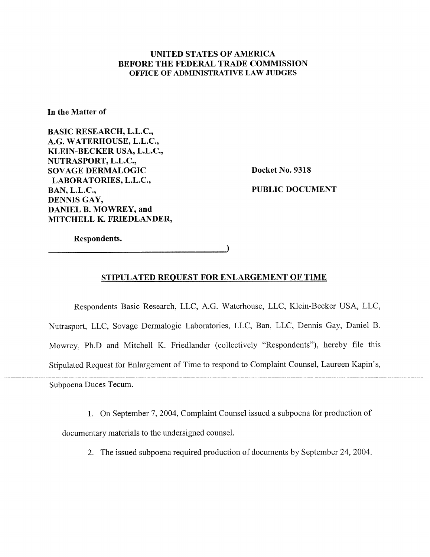# **UNITED STATES OF AMERICA BEFORE THE FEDERAL TRADE COMMISSION OFFICE OF ADMINISTRATIVE LAW JUDGES**

**In the Matter of** 

**BASIC RESEARCH, L.L.C., A.G. WATERHOUSE, L.L.C., KLEIN-BECKER USA, L.L.C., NUTRASPORT, L.L.C., SOVAGE DERMALOGIC LABORATORIES, L.L.C., BAN, L.L.C., DENNIS GAY, DANIEL B. MOWREY, and MITCHELL K. FRIEDLANDER,** 

**Docket No. 9318** 

**PUBLIC DOCUMENT** 

**Respondents.** 

**STIPULATED REQUEST FOR ENLARGEMENT OF TIME** 

 $\lambda$ 

Respondents Basic Research, LLC, A.G. Waterhouse, LLC, Klein-Becker USA, LLC, Nutrasport, LLC, Sovage Derrnalogic Laboratories, LLC, Ban, LLC, Dennis Gay, Daniel B. Mowrey, Ph.D and Mitchell K. Friedlander (collectively "Respondents"), hereby file this Stipulated Request for Enlargement of Time to respond to Complaint Counsel, Laureen Kapin's, Subpoena Duces Tecum.

1. On September 7,2004, Complaint Counsel issued a subpoena for production of documentary materials to the undersigned counsel.

2. The issued subpoena required production of documents by September 24, 2004.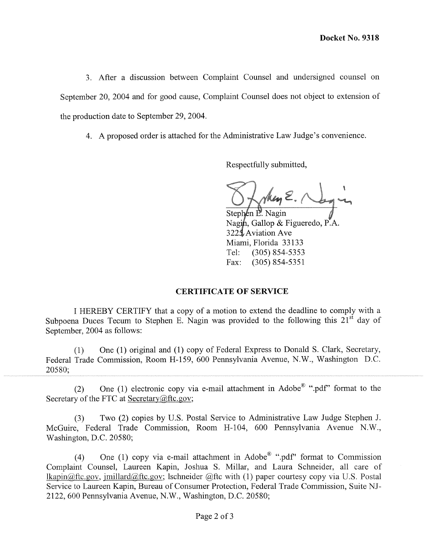3. After a discussion between Complaint Counsel and undersigned counsel on September 20, 2004 and for good cause, Complaint Counsel does not object to extension of the production date to September 29,2004.

4. A proposed order is attached for the Administrative Law Judge's convenience.

Respectfully submitted,

key E.

Stephen P. Nagin Nagin, Gallop & Figueredo, P.A. 3225 Aviation Ave Miami, Florida 33133 Tel: (305) 854-5353 Fax: (305) 854-5351

### **CERTIFICATE OF SERVICE**

I HEREBY CERTJFY that a copy of a motion to extend the deadline to comply with a Subpoena Duces Tecum to Stephen E. Nagin was provided to the following this  $21^{s\bar{t}}$  day of September, 2004 as follows:

(1) One (1) original and (1) copy of Federal Express to Donald S. Clark, Secretary, Federal Trade Commission, Room H- 159, 600 Pennsylvania Avenue, N.W., Washington D.C. 20580;

(2) One (1) electronic copy via e-mail attachment in Adobe<sup>®</sup> ".pdf" format to the Secretary of the FTC at Secretary $@$ ftc.gov;

(3) Two (2) copies by U.S. Postal Service to Administrative Law Judge Stephen J. McCuire, Federal Trade Commission, Room H-104, 600 Pennsylvania Avenue N.W., Washington, D.C. 20580;

(4) One (1) copy via e-mail attachment in Adobe<sup>®</sup> ".pdf" format to Commission complaint Counsel, Laureen Kapin, Joshua S. Millar, and Laura Schneider, all care of lkapin@ftc.gov, imillard@ftc.gov; lschneider @ftc with (1) paper courtesy copy via U.S. Postal Service to Laureen Kapin, Bureau of Consumer Protection, Federal Trade Commission, Suite NJ-2 122, 600 Pennsylvania Avenue, N.W., Washington, D.C. 20580;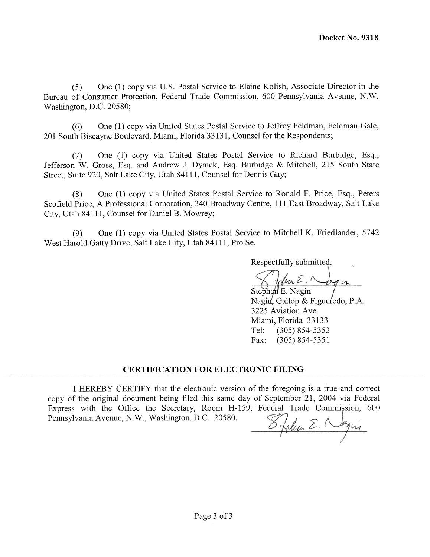(5) One (1) copy via U.S. Postal Service to Elaine Kolish, Associate Director in the Bureau of Consumer Protection, Federal Trade Commission, 600 Pennsylvania Avenue, N.W. Washington, D.C. 20580;

(6) One (1) copy via United States Postal Service to Jeffrey Feldman, Feldman Gale, 201 South Biscayne Boulevard, Miami, Florida 33131, Counsel for the Respondents;

(7) One (1) copy via United States Postal Service to Richard Burbidge, Esq., Jefferson W. Gross, Esq. and Andrew J. Dymek, Esq. Burbidge & Mitchell, 215 South State Street, Suite 920, Salt Lake City, Utah 841 11, Counsel for Dennis Gay;

(8) One (1) copy via United States Postal Service to Ronald F. Price, Esq., Peters Scofield Price, A Professional Corporation, 340 Broadway Centre, 11 1 East Broadway, Salt Lake City, Utah 84111, Counsel for Daniel B. Mowrey;

(9) One (1) copy via United States Postal Service to Mitchell K. Friedlander, 5742 West Harold Gatty Drive, Salt Lake City, Utah 84111, Pro Se.

Respectfully submitted,

Wen E. Jogen

Stephen E. Nagin Nagin, Gallop & Figueredo, P.A. 3225 Aviation Ave Miami, Florida 33 133 Tel: (305) 854-5353 Fax: (305) 854-5351

# **CERTIFICATION FOR ELECTRONIC FILING**

I HEREBY CERTIFY that the electronic version of the foregoing is a true and correct copy of the original document being filed this same day of September 21, 2004 via Federal Express with the Office the Secretary, Room H-159, Federal Trade Commission, 600 Pennsylvania Avenue, N.W., Washington, D.C. 20580.

Stellan E. Nagir